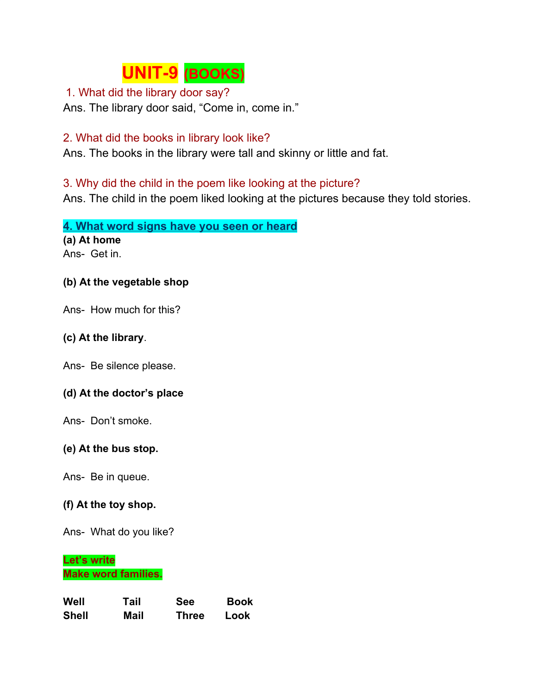# **UNIT-9 (BOOKS)**

## 1. What did the library door say?

Ans. The library door said, "Come in, come in."

## 2. What did the books in library look like?

Ans. The books in the library were tall and skinny or little and fat.

## 3. Why did the child in the poem like looking at the picture?

Ans. The child in the poem liked looking at the pictures because they told stories.

**4. What word signs have you seen or heard (a) At home**

Ans- Get in.

## **(b) At the vegetable shop**

Ans- How much for this?

## **(c) At the library**.

Ans- Be silence please.

### **(d) At the doctor's place**

Ans- Don't smoke.

### **(e) At the bus stop.**

Ans- Be in queue.

### **(f) At the toy shop.**

Ans- What do you like?

### **Let's write Make word families.**

| Well         | Tail | <b>See</b>   | <b>Book</b> |
|--------------|------|--------------|-------------|
| <b>Shell</b> | Mail | <b>Three</b> | Look        |